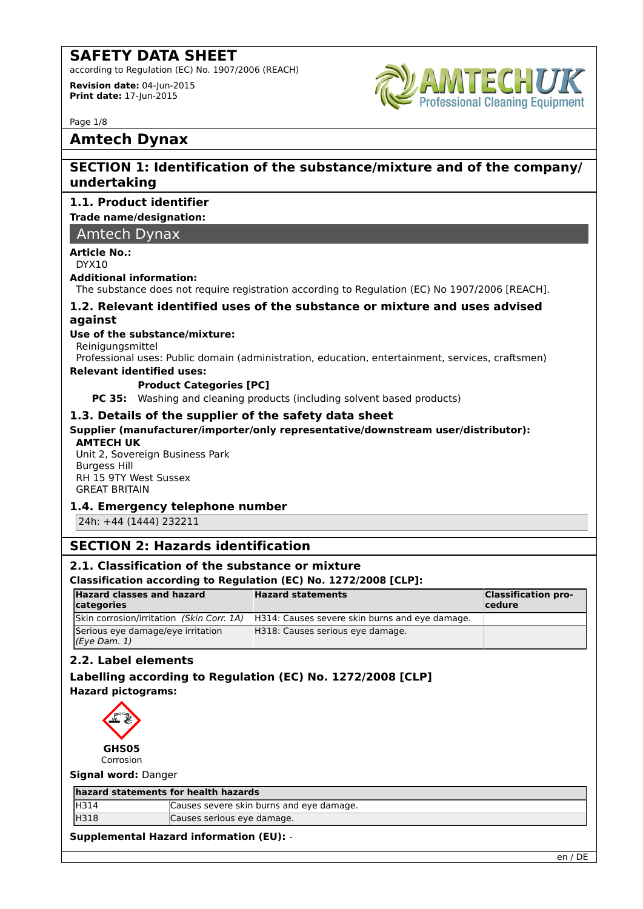according to Regulation (EC) No. 1907/2006 (REACH)

**Revision date:** 04-Jun-2015 **Print date:** 17-Jun-2015



Page 1/8

# **Amtech Dynax**

# **SECTION 1: Identification of the substance/mixture and of the company/ undertaking**

### **1.1. Product identifier**

**Trade name/designation:**

Amtech Dynax

#### **Article No.:**

DYX10

#### **Additional information:**

The substance does not require registration according to Regulation (EC) No 1907/2006 [REACH].

#### **1.2. Relevant identified uses of the substance or mixture and uses advised against**

#### **Use of the substance/mixture:**

Reinigungsmittel

Professional uses: Public domain (administration, education, entertainment, services, craftsmen)

#### **Relevant identified uses:**

#### **Product Categories [PC]**

**PC 35:** Washing and cleaning products (including solvent based products)

#### **1.3. Details of the supplier of the safety data sheet**

#### **Supplier (manufacturer/importer/only representative/downstream user/distributor):**

#### **AMTECH UK**

Unit 2, Sovereign Business Park Burgess Hill RH 15 9TY West Sussex GREAT BRITAIN

#### **1.4. Emergency telephone number**

24h: +44 (1444) 232211

# **SECTION 2: Hazards identification**

#### **2.1. Classification of the substance or mixture**

#### **Classification according to Regulation (EC) No. 1272/2008 [CLP]:**

| <b>Hazard classes and hazard</b><br>categories        | <b>Hazard statements</b>                       | <b>Classification pro-</b><br>$ $ cedure |
|-------------------------------------------------------|------------------------------------------------|------------------------------------------|
| Skin corrosion/irritation (Skin Corr. 1A)             | H314: Causes severe skin burns and eye damage. |                                          |
| Serious eye damage/eye irritation<br>$(Eye$ Dam. $1)$ | H318: Causes serious eye damage.               |                                          |

#### **2.2. Label elements**

#### **Labelling according to Regulation (EC) No. 1272/2008 [CLP] Hazard pictograms:**



**Signal word:** Danger

#### **hazard statements for health hazards**

| <b>H314</b> | Causes severe skin burns and eye damage. |  |
|-------------|------------------------------------------|--|
| H318        | Causes serious eye damage.               |  |
|             |                                          |  |

#### **Supplemental Hazard information (EU):** -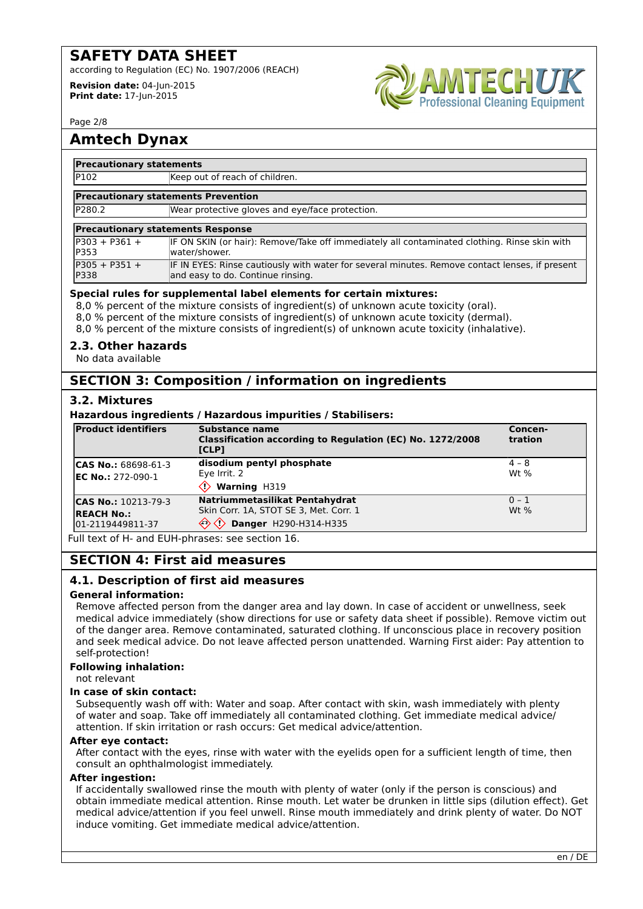according to Regulation (EC) No. 1907/2006 (REACH)

**Revision date:** 04-Jun-2015 **Print date:** 17-Jun-2015



Page 2/8

# **Amtech Dynax**

#### **Precautionary statements**

P102 Keep out of reach of children.

#### **Precautionary statements Prevention**

P280.2 Wear protective gloves and eye/face protection.

#### **Precautionary statements Response**

| IP303 + P361 +  | IF ON SKIN (or hair): Remove/Take off immediately all contaminated clothing. Rinse skin with   |
|-----------------|------------------------------------------------------------------------------------------------|
| P353            | water/shower.                                                                                  |
| $P305 + P351 +$ | IF IN EYES: Rinse cautiously with water for several minutes. Remove contact lenses, if present |
| P338            | and easy to do. Continue rinsing.                                                              |

#### **Special rules for supplemental label elements for certain mixtures:**

8,0 % percent of the mixture consists of ingredient(s) of unknown acute toxicity (oral).

8,0 % percent of the mixture consists of ingredient(s) of unknown acute toxicity (dermal).

8,0 % percent of the mixture consists of ingredient(s) of unknown acute toxicity (inhalative).

#### **2.3. Other hazards**

No data available

# **SECTION 3: Composition / information on ingredients**

#### **3.2. Mixtures**

#### **Hazardous ingredients / Hazardous impurities / Stabilisers:**

| <b>Product identifiers</b>                                          | Substance name<br>Classification according to Regulation (EC) No. 1272/2008<br>[CLP]                                        | Concen-<br>tration  |
|---------------------------------------------------------------------|-----------------------------------------------------------------------------------------------------------------------------|---------------------|
| <b>CAS No.: 68698-61-3</b><br><b>IEC No.: 272-090-1</b>             | disodium pentyl phosphate<br>Eve Irrit. 2<br><b>Warning H319</b>                                                            | $ 4 - 8 $<br>$Wt$ % |
| <b>CAS No.: 10213-79-3</b><br><b>REACH No.:</b><br>01-2119449811-37 | Natriummetasilikat Pentahydrat<br>Skin Corr. 1A, STOT SE 3, Met. Corr. 1<br>$\Leftrightarrow$<br>♦<br>Danger H290-H314-H335 | $ 0 - 1 $<br>$Wt$ % |

Full text of H- and EUH-phrases: see section 16.

# **SECTION 4: First aid measures**

#### **4.1. Description of first aid measures**

#### **General information:**

Remove affected person from the danger area and lay down. In case of accident or unwellness, seek medical advice immediately (show directions for use or safety data sheet if possible). Remove victim out of the danger area. Remove contaminated, saturated clothing. If unconscious place in recovery position and seek medical advice. Do not leave affected person unattended. Warning First aider: Pay attention to self-protection!

#### **Following inhalation:**

not relevant

#### **In case of skin contact:**

Subsequently wash off with: Water and soap. After contact with skin, wash immediately with plenty of water and soap. Take off immediately all contaminated clothing. Get immediate medical advice/ attention. If skin irritation or rash occurs: Get medical advice/attention.

#### **After eye contact:**

After contact with the eyes, rinse with water with the eyelids open for a sufficient length of time, then consult an ophthalmologist immediately.

#### **After ingestion:**

If accidentally swallowed rinse the mouth with plenty of water (only if the person is conscious) and obtain immediate medical attention. Rinse mouth. Let water be drunken in little sips (dilution effect). Get medical advice/attention if you feel unwell. Rinse mouth immediately and drink plenty of water. Do NOT induce vomiting. Get immediate medical advice/attention.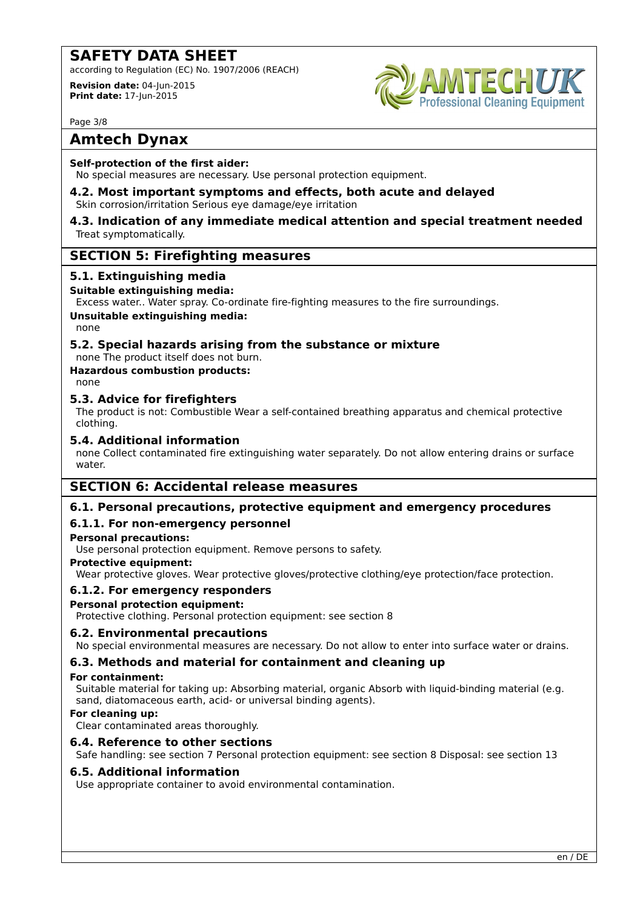according to Regulation (EC) No. 1907/2006 (REACH)

**Revision date:** 04-Jun-2015 **Print date:** 17-Jun-2015



Page 3/8

# **Amtech Dynax**

#### **Self-protection of the first aider:**

No special measures are necessary. Use personal protection equipment.

**4.2. Most important symptoms and effects, both acute and delayed** Skin corrosion/irritation Serious eye damage/eye irritation

#### **4.3. Indication of any immediate medical attention and special treatment needed** Treat symptomatically.

# **SECTION 5: Firefighting measures**

#### **5.1. Extinguishing media**

#### **Suitable extinguishing media:**

Excess water.. Water spray. Co-ordinate fire-fighting measures to the fire surroundings.

### **Unsuitable extinguishing media:**

none

# **5.2. Special hazards arising from the substance or mixture**

none The product itself does not burn.

# **Hazardous combustion products:**

none

#### **5.3. Advice for firefighters**

The product is not: Combustible Wear a self-contained breathing apparatus and chemical protective clothing.

#### **5.4. Additional information**

none Collect contaminated fire extinguishing water separately. Do not allow entering drains or surface water.

# **SECTION 6: Accidental release measures**

# **6.1. Personal precautions, protective equipment and emergency procedures**

# **6.1.1. For non-emergency personnel**

#### **Personal precautions:**

Use personal protection equipment. Remove persons to safety.

#### **Protective equipment:**

Wear protective gloves. Wear protective gloves/protective clothing/eye protection/face protection.

#### **6.1.2. For emergency responders**

#### **Personal protection equipment:**

Protective clothing. Personal protection equipment: see section 8

#### **6.2. Environmental precautions**

No special environmental measures are necessary. Do not allow to enter into surface water or drains.

# **6.3. Methods and material for containment and cleaning up**

#### **For containment:**

Suitable material for taking up: Absorbing material, organic Absorb with liquid-binding material (e.g. sand, diatomaceous earth, acid- or universal binding agents).

# **For cleaning up:**

Clear contaminated areas thoroughly.

#### **6.4. Reference to other sections**

Safe handling: see section 7 Personal protection equipment: see section 8 Disposal: see section 13

#### **6.5. Additional information**

Use appropriate container to avoid environmental contamination.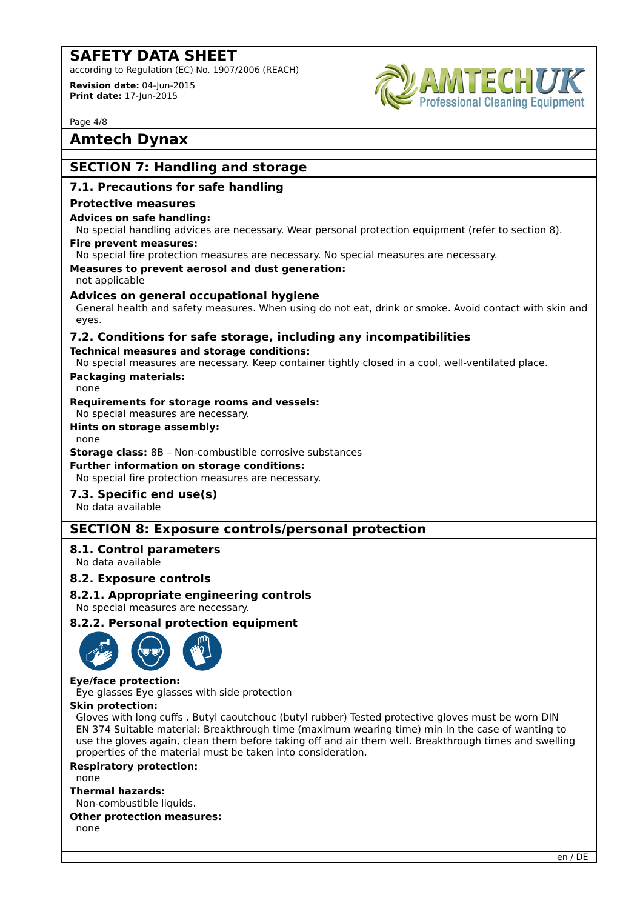according to Regulation (EC) No. 1907/2006 (REACH)

**Revision date:** 04-Jun-2015 **Print date:** 17-Jun-2015



Page 4/8

# **Amtech Dynax**

# **SECTION 7: Handling and storage**

#### **7.1. Precautions for safe handling**

#### **Protective measures**

#### **Advices on safe handling:**

No special handling advices are necessary. Wear personal protection equipment (refer to section 8).

# **Fire prevent measures:**

No special fire protection measures are necessary. No special measures are necessary.

**Measures to prevent aerosol and dust generation:** not applicable

#### **Advices on general occupational hygiene**

General health and safety measures. When using do not eat, drink or smoke. Avoid contact with skin and eyes.

# **7.2. Conditions for safe storage, including any incompatibilities**

#### **Technical measures and storage conditions:**

No special measures are necessary. Keep container tightly closed in a cool, well-ventilated place.

# **Packaging materials:**

#### none

**Requirements for storage rooms and vessels:**

No special measures are necessary.

### **Hints on storage assembly:**

none

**Storage class:** 8B – Non-combustible corrosive substances

#### **Further information on storage conditions:**

No special fire protection measures are necessary.

# **7.3. Specific end use(s)**

No data available

# **SECTION 8: Exposure controls/personal protection**

# **8.1. Control parameters**

No data available

#### **8.2. Exposure controls**

#### **8.2.1. Appropriate engineering controls**

No special measures are necessary.

#### **8.2.2. Personal protection equipment**



#### **Eye/face protection:**

Eye glasses Eye glasses with side protection

#### **Skin protection:**

Gloves with long cuffs . Butyl caoutchouc (butyl rubber) Tested protective gloves must be worn DIN EN 374 Suitable material: Breakthrough time (maximum wearing time) min In the case of wanting to use the gloves again, clean them before taking off and air them well. Breakthrough times and swelling properties of the material must be taken into consideration.

#### **Respiratory protection:**

none

#### **Thermal hazards:**

Non-combustible liquids. **Other protection measures:**

none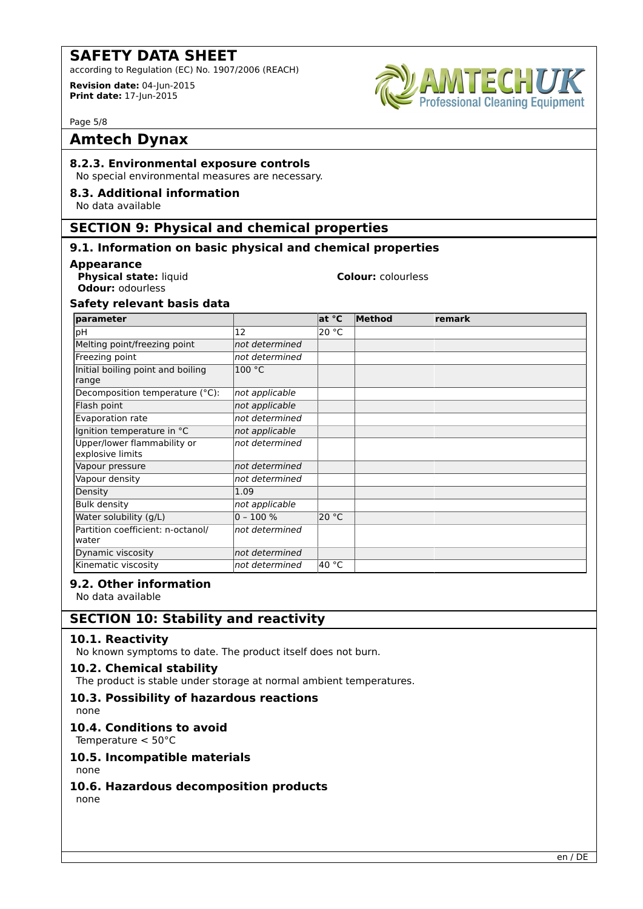according to Regulation (EC) No. 1907/2006 (REACH)

**Revision date:** 04-Jun-2015 **Print date:** 17-Jun-2015



Page 5/8

# **Amtech Dynax**

#### **8.2.3. Environmental exposure controls**

No special environmental measures are necessary.

#### **8.3. Additional information**

No data available

# **SECTION 9: Physical and chemical properties**

### **9.1. Information on basic physical and chemical properties**

#### **Appearance**

**Physical state:** liquid **Colour:** colourless **Odour:** odourless

#### **Safety relevant basis data**

| <b>Iparameter</b>                               |                | at °C | Method | <b>remark</b> |
|-------------------------------------------------|----------------|-------|--------|---------------|
| pH                                              | 12             | 20 °C |        |               |
| Melting point/freezing point                    | not determined |       |        |               |
| Freezing point                                  | not determined |       |        |               |
| Initial boiling point and boiling<br>range      | 100 °C         |       |        |               |
| Decomposition temperature (°C):                 | not applicable |       |        |               |
| Flash point                                     | not applicable |       |        |               |
| Evaporation rate                                | not determined |       |        |               |
| Ignition temperature in °C                      | not applicable |       |        |               |
| Upper/lower flammability or<br>explosive limits | not determined |       |        |               |
| Vapour pressure                                 | not determined |       |        |               |
| Vapour density                                  | not determined |       |        |               |
| Density                                         | 1.09           |       |        |               |
| <b>Bulk density</b>                             | not applicable |       |        |               |
| Water solubility (g/L)                          | $0 - 100 %$    | 20 °C |        |               |
| Partition coefficient: n-octanol/<br>water      | not determined |       |        |               |
| Dynamic viscosity                               | not determined |       |        |               |
| Kinematic viscosity                             | not determined | 40 °C |        |               |

#### **9.2. Other information**

No data available

# **SECTION 10: Stability and reactivity**

#### **10.1. Reactivity**

No known symptoms to date. The product itself does not burn.

#### **10.2. Chemical stability**

The product is stable under storage at normal ambient temperatures.

# **10.3. Possibility of hazardous reactions**

none

# **10.4. Conditions to avoid**

Temperature < 50°C

#### **10.5. Incompatible materials**

none

# **10.6. Hazardous decomposition products**

none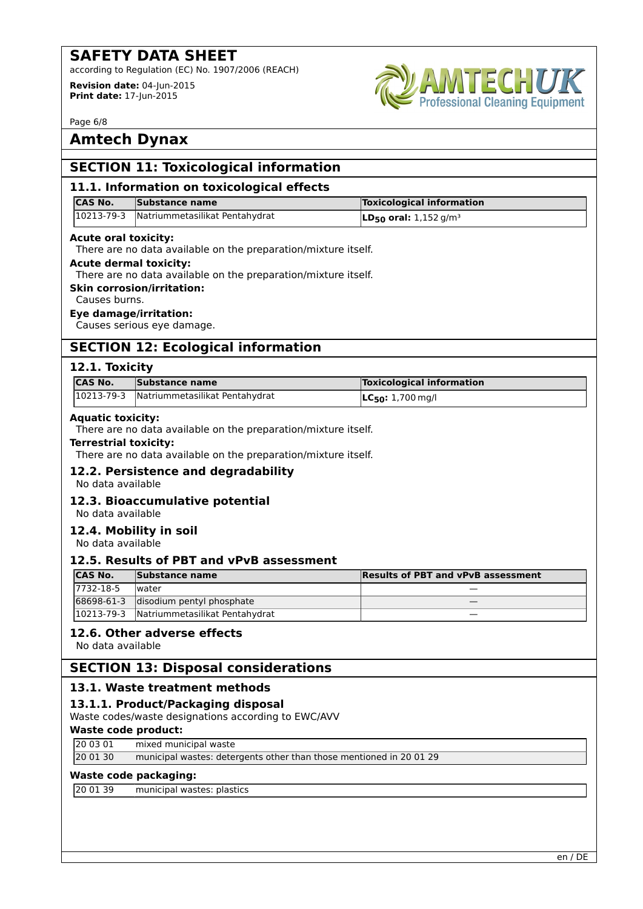according to Regulation (EC) No. 1907/2006 (REACH)

**Revision date:** 04-Jun-2015 **Print date:** 17-Jun-2015



Page 6/8

# **Amtech Dynax**

| <b>SECTION 11: Toxicological information</b>                                                |                                                                                                                                                                                                                                                                                  |                                           |
|---------------------------------------------------------------------------------------------|----------------------------------------------------------------------------------------------------------------------------------------------------------------------------------------------------------------------------------------------------------------------------------|-------------------------------------------|
|                                                                                             | 11.1. Information on toxicological effects                                                                                                                                                                                                                                       |                                           |
| <b>CAS No.</b>                                                                              | <b>Substance name</b>                                                                                                                                                                                                                                                            | <b>Toxicological information</b>          |
| 10213-79-3                                                                                  | Natriummetasilikat Pentahydrat                                                                                                                                                                                                                                                   | $LD_{50}$ oral: 1,152 g/m <sup>3</sup>    |
| <b>Acute oral toxicity:</b>                                                                 |                                                                                                                                                                                                                                                                                  |                                           |
|                                                                                             | There are no data available on the preparation/mixture itself.                                                                                                                                                                                                                   |                                           |
| <b>Acute dermal toxicity:</b>                                                               |                                                                                                                                                                                                                                                                                  |                                           |
|                                                                                             | There are no data available on the preparation/mixture itself.<br><b>Skin corrosion/irritation:</b>                                                                                                                                                                              |                                           |
| Causes burns.                                                                               |                                                                                                                                                                                                                                                                                  |                                           |
|                                                                                             | <b>Eye damage/irritation:</b>                                                                                                                                                                                                                                                    |                                           |
|                                                                                             | Causes serious eye damage.                                                                                                                                                                                                                                                       |                                           |
|                                                                                             | <b>SECTION 12: Ecological information</b>                                                                                                                                                                                                                                        |                                           |
| 12.1. Toxicity                                                                              |                                                                                                                                                                                                                                                                                  |                                           |
| <b>CAS No.</b>                                                                              | <b>Substance name</b>                                                                                                                                                                                                                                                            | <b>Toxicological information</b>          |
| 10213-79-3                                                                                  | Natriummetasilikat Pentahydrat                                                                                                                                                                                                                                                   | $LC50: 1,700$ mg/l                        |
| <b>Terrestrial toxicity:</b><br>No data available<br>No data available<br>No data available | There are no data available on the preparation/mixture itself.<br>There are no data available on the preparation/mixture itself.<br>12.2. Persistence and degradability<br>12.3. Bioaccumulative potential<br>12.4. Mobility in soil<br>12.5. Results of PBT and vPvB assessment |                                           |
| <b>CAS No.</b><br>7732-18-5                                                                 | Substance name<br>lwater                                                                                                                                                                                                                                                         | <b>Results of PBT and vPvB assessment</b> |
| 68698-61-3                                                                                  | disodium pentyl phosphate                                                                                                                                                                                                                                                        |                                           |
| 10213-79-3                                                                                  | Natriummetasilikat Pentahydrat                                                                                                                                                                                                                                                   |                                           |
| No data available                                                                           | 12.6. Other adverse effects                                                                                                                                                                                                                                                      |                                           |
|                                                                                             | <b>SECTION 13: Disposal considerations</b>                                                                                                                                                                                                                                       |                                           |
|                                                                                             | 13.1. Waste treatment methods                                                                                                                                                                                                                                                    |                                           |
|                                                                                             | 13.1.1. Product/Packaging disposal                                                                                                                                                                                                                                               |                                           |
|                                                                                             | Waste codes/waste designations according to EWC/AVV                                                                                                                                                                                                                              |                                           |
| <b>Waste code product:</b><br>20 03 01                                                      | mixed municipal waste                                                                                                                                                                                                                                                            |                                           |
| 20 01 30                                                                                    | municipal wastes: detergents other than those mentioned in 20 01 29                                                                                                                                                                                                              |                                           |
| <b>Waste code packaging:</b>                                                                |                                                                                                                                                                                                                                                                                  |                                           |
| 20 01 39                                                                                    | municipal wastes: plastics                                                                                                                                                                                                                                                       |                                           |
|                                                                                             |                                                                                                                                                                                                                                                                                  |                                           |
|                                                                                             |                                                                                                                                                                                                                                                                                  |                                           |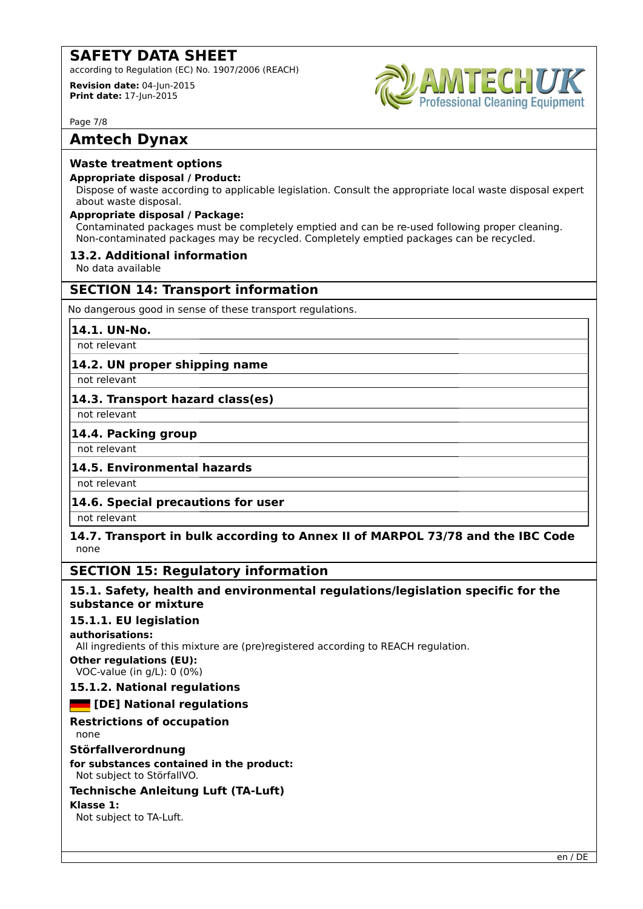according to Regulation (EC) No. 1907/2006 (REACH)

**Revision date:** 04-Jun-2015 **Print date:** 17-Jun-2015



Page 7/8

# **Amtech Dynax**

#### **Waste treatment options**

#### **Appropriate disposal / Product:**

Dispose of waste according to applicable legislation. Consult the appropriate local waste disposal expert about waste disposal.

#### **Appropriate disposal / Package:**

Contaminated packages must be completely emptied and can be re-used following proper cleaning. Non-contaminated packages may be recycled. Completely emptied packages can be recycled.

#### **13.2. Additional information**

No data available

# **SECTION 14: Transport information**

No dangerous good in sense of these transport regulations.

#### **14.1. UN-No.**

not relevant

# **14.2. UN proper shipping name**

not relevant

#### **14.3. Transport hazard class(es)**

not relevant

#### **14.4. Packing group**

not relevant

# **14.5. Environmental hazards**

not relevant

# **14.6. Special precautions for user**

not relevant

#### **14.7. Transport in bulk according to Annex II of MARPOL 73/78 and the IBC Code** none

# **SECTION 15: Regulatory information**

#### **15.1. Safety, health and environmental regulations/legislation specific for the substance or mixture**

#### **15.1.1. EU legislation**

**authorisations:**

All ingredients of this mixture are (pre)registered according to REACH regulation.

**Other regulations (EU):** VOC-value (in g/L): 0 (0%)

# **15.1.2. National regulations**

# **Example 1** [DE] National regulations

# **Restrictions of occupation**

none

#### **Störfallverordnung**

**for substances contained in the product:** Not subject to StörfallVO.

#### **Technische Anleitung Luft (TA-Luft)**

#### **Klasse 1:**

Not subject to TA-Luft.